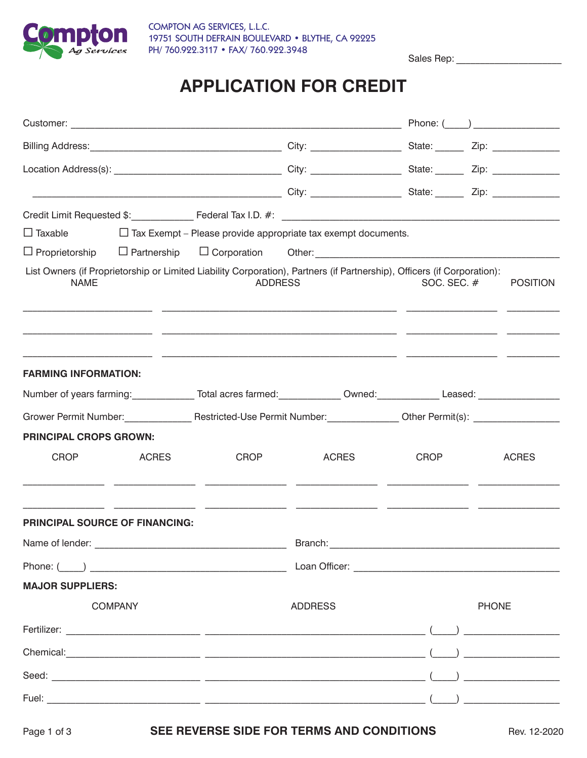

COMPTON AG SERVICES, L.L.C. 19751 SOUTH DEFRAIN BOULEVARD • BLYTHE, CA 92225 PH/ 760.922.3117 • FAX/ 760.922.3948

Sales Rep:

## **APPLICATION FOR CREDIT**

|                                                                                                                      |              |                | $\Box$ Taxable $\Box$ Tax Exempt – Please provide appropriate tax exempt documents.                                     |               |                                                                                                                                                                                                                                                                                                                                                     |  |
|----------------------------------------------------------------------------------------------------------------------|--------------|----------------|-------------------------------------------------------------------------------------------------------------------------|---------------|-----------------------------------------------------------------------------------------------------------------------------------------------------------------------------------------------------------------------------------------------------------------------------------------------------------------------------------------------------|--|
| $\Box$ Proprietorship                                                                                                |              |                |                                                                                                                         |               |                                                                                                                                                                                                                                                                                                                                                     |  |
| <b>NAME</b>                                                                                                          |              | <b>ADDRESS</b> | List Owners (if Proprietorship or Limited Liability Corporation), Partners (if Partnership), Officers (if Corporation): | SOC. SEC. $#$ | <b>POSITION</b>                                                                                                                                                                                                                                                                                                                                     |  |
| <b>FARMING INFORMATION:</b>                                                                                          |              |                |                                                                                                                         |               |                                                                                                                                                                                                                                                                                                                                                     |  |
| Number of years farming: ______________Total acres farmed: _____________Owned: _____________Leased: ________________ |              |                |                                                                                                                         |               |                                                                                                                                                                                                                                                                                                                                                     |  |
|                                                                                                                      |              |                |                                                                                                                         |               |                                                                                                                                                                                                                                                                                                                                                     |  |
| <b>PRINCIPAL CROPS GROWN:</b>                                                                                        |              |                |                                                                                                                         |               |                                                                                                                                                                                                                                                                                                                                                     |  |
| <b>CROP</b>                                                                                                          | <b>ACRES</b> | <b>CROP</b>    | <b>ACRES</b>                                                                                                            | <b>CROP</b>   | <b>ACRES</b>                                                                                                                                                                                                                                                                                                                                        |  |
| <b>PRINCIPAL SOURCE OF FINANCING:</b>                                                                                |              |                |                                                                                                                         |               |                                                                                                                                                                                                                                                                                                                                                     |  |
|                                                                                                                      |              |                |                                                                                                                         |               |                                                                                                                                                                                                                                                                                                                                                     |  |
|                                                                                                                      |              |                |                                                                                                                         |               |                                                                                                                                                                                                                                                                                                                                                     |  |
| <b>MAJOR SUPPLIERS:</b>                                                                                              |              |                |                                                                                                                         |               |                                                                                                                                                                                                                                                                                                                                                     |  |
| <b>COMPANY</b>                                                                                                       |              | <b>ADDRESS</b> |                                                                                                                         | <b>PHONE</b>  |                                                                                                                                                                                                                                                                                                                                                     |  |
|                                                                                                                      |              |                |                                                                                                                         |               |                                                                                                                                                                                                                                                                                                                                                     |  |
|                                                                                                                      |              |                |                                                                                                                         |               | $\begin{picture}(150,10) \put(0,0){\line(1,0){10}} \put(15,0){\line(1,0){10}} \put(15,0){\line(1,0){10}} \put(15,0){\line(1,0){10}} \put(15,0){\line(1,0){10}} \put(15,0){\line(1,0){10}} \put(15,0){\line(1,0){10}} \put(15,0){\line(1,0){10}} \put(15,0){\line(1,0){10}} \put(15,0){\line(1,0){10}} \put(15,0){\line(1,0){10}} \put(15,0){\line($ |  |
|                                                                                                                      |              |                |                                                                                                                         |               | $\begin{picture}(150,10) \put(0,0){\line(1,0){10}} \put(15,0){\line(1,0){10}} \put(15,0){\line(1,0){10}} \put(15,0){\line(1,0){10}} \put(15,0){\line(1,0){10}} \put(15,0){\line(1,0){10}} \put(15,0){\line(1,0){10}} \put(15,0){\line(1,0){10}} \put(15,0){\line(1,0){10}} \put(15,0){\line(1,0){10}} \put(15,0){\line(1,0){10}} \put(15,0){\line($ |  |
|                                                                                                                      |              |                |                                                                                                                         |               |                                                                                                                                                                                                                                                                                                                                                     |  |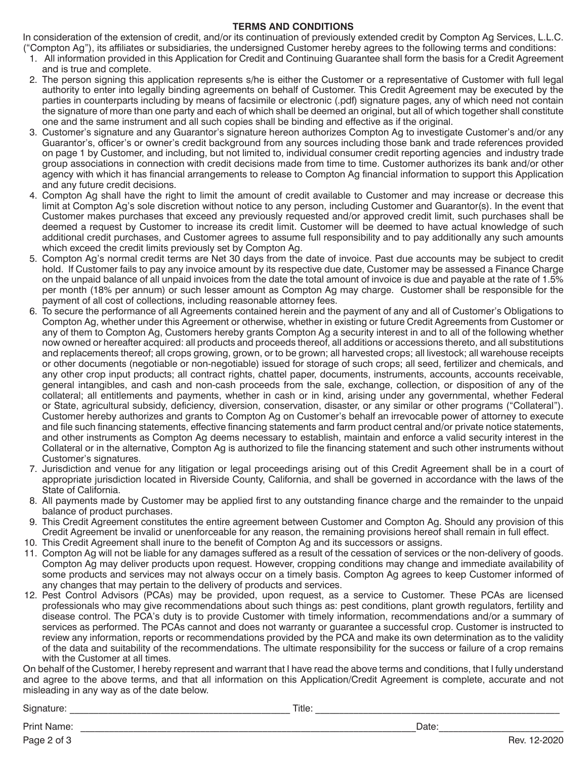## **TERMS AND CONDITIONS**

In consideration of the extension of credit, and/or its continuation of previously extended credit by Compton Ag Services, L.L.C. ("Compton Ag"), its affiliates or subsidiaries, the undersigned Customer hereby agrees to the following terms and conditions:

- 1. All information provided in this Application for Credit and Continuing Guarantee shall form the basis for a Credit Agreement and is true and complete.
- 2. The person signing this application represents s/he is either the Customer or a representative of Customer with full legal authority to enter into legally binding agreements on behalf of Customer. This Credit Agreement may be executed by the parties in counterparts including by means of facsimile or electronic (.pdf) signature pages, any of which need not contain the signature of more than one party and each of which shall be deemed an original, but all of which together shall constitute one and the same instrument and all such copies shall be binding and effective as if the original.
- 3. Customer's signature and any Guarantor's signature hereon authorizes Compton Ag to investigate Customer's and/or any Guarantor's, officer's or owner's credit background from any sources including those bank and trade references provided on page 1 by Customer, and including, but not limited to, individual consumer credit reporting agencies and industry trade group associations in connection with credit decisions made from time to time. Customer authorizes its bank and/or other agency with which it has financial arrangements to release to Compton Ag financial information to support this Application and any future credit decisions.
- 4. Compton Ag shall have the right to limit the amount of credit available to Customer and may increase or decrease this limit at Compton Ag's sole discretion without notice to any person, including Customer and Guarantor(s). In the event that Customer makes purchases that exceed any previously requested and/or approved credit limit, such purchases shall be deemed a request by Customer to increase its credit limit. Customer will be deemed to have actual knowledge of such additional credit purchases, and Customer agrees to assume full responsibility and to pay additionally any such amounts which exceed the credit limits previously set by Compton Ag.
- 5. Compton Ag's normal credit terms are Net 30 days from the date of invoice. Past due accounts may be subject to credit hold. If Customer fails to pay any invoice amount by its respective due date, Customer may be assessed a Finance Charge on the unpaid balance of all unpaid invoices from the date the total amount of invoice is due and payable at the rate of 1.5% per month (18% per annum) or such lesser amount as Compton Ag may charge. Customer shall be responsible for the payment of all cost of collections, including reasonable attorney fees.
- 6. To secure the performance of all Agreements contained herein and the payment of any and all of Customer's Obligations to Compton Ag, whether under this Agreement or otherwise, whether in existing or future Credit Agreements from Customer or any of them to Compton Ag, Customers hereby grants Compton Ag a security interest in and to all of the following whether now owned or hereafter acquired: all products and proceeds thereof, all additions or accessions thereto, and all substitutions and replacements thereof; all crops growing, grown, or to be grown; all harvested crops; all livestock; all warehouse receipts or other documents (negotiable or non-negotiable) issued for storage of such crops; all seed, fertilizer and chemicals, and any other crop input products; all contract rights, chattel paper, documents, instruments, accounts, accounts receivable, general intangibles, and cash and non-cash proceeds from the sale, exchange, collection, or disposition of any of the collateral; all entitlements and payments, whether in cash or in kind, arising under any governmental, whether Federal or State, agricultural subsidy, deficiency, diversion, conservation, disaster, or any similar or other programs ("Collateral"). Customer hereby authorizes and grants to Compton Ag on Customer's behalf an irrevocable power of attorney to execute and file such financing statements, effective financing statements and farm product central and/or private notice statements, and other instruments as Compton Ag deems necessary to establish, maintain and enforce a valid security interest in the Collateral or in the alternative, Compton Ag is authorized to file the financing statement and such other instruments without Customer's signatures.
- 7. Jurisdiction and venue for any litigation or legal proceedings arising out of this Credit Agreement shall be in a court of appropriate jurisdiction located in Riverside County, California, and shall be governed in accordance with the laws of the State of California.
- 8. All payments made by Customer may be applied first to any outstanding finance charge and the remainder to the unpaid balance of product purchases.
- 9. This Credit Agreement constitutes the entire agreement between Customer and Compton Ag. Should any provision of this Credit Agreement be invalid or unenforceable for any reason, the remaining provisions hereof shall remain in full effect.
- 10. This Credit Agreement shall inure to the benefit of Compton Ag and its successors or assigns.
- 11. Compton Ag will not be liable for any damages suffered as a result of the cessation of services or the non-delivery of goods. Compton Ag may deliver products upon request. However, cropping conditions may change and immediate availability of some products and services may not always occur on a timely basis. Compton Ag agrees to keep Customer informed of any changes that may pertain to the delivery of products and services.
- 12. Pest Control Advisors (PCAs) may be provided, upon request, as a service to Customer. These PCAs are licensed professionals who may give recommendations about such things as: pest conditions, plant growth regulators, fertility and disease control. The PCA's duty is to provide Customer with timely information, recommendations and/or a summary of services as performed. The PCAs cannot and does not warranty or guarantee a successful crop. Customer is instructed to review any information, reports or recommendations provided by the PCA and make its own determination as to the validity of the data and suitability of the recommendations. The ultimate responsibility for the success or failure of a crop remains with the Customer at all times.

On behalf of the Customer, I hereby represent and warrant that I have read the above terms and conditions, that I fully understand and agree to the above terms, and that all information on this Application/Credit Agreement is complete, accurate and not misleading in any way as of the date below.

Signature: \_\_\_\_\_\_\_\_\_\_\_\_\_\_\_\_\_\_\_\_\_\_\_\_\_\_\_\_\_\_\_\_\_\_\_\_\_\_\_\_\_\_\_\_\_\_ Title: \_\_\_\_\_\_\_\_\_\_\_\_\_\_\_\_\_\_\_\_\_\_\_\_\_\_\_\_\_\_\_\_\_\_\_\_\_\_\_\_\_\_\_\_\_\_\_\_\_\_\_

Print Name: \_\_\_\_\_\_\_\_\_\_\_\_\_\_\_\_\_\_\_\_\_\_\_\_\_\_\_\_\_\_\_\_\_\_\_\_\_\_\_\_\_\_\_\_\_\_\_\_\_\_\_\_\_\_\_\_\_\_\_\_\_\_\_\_\_\_\_\_\_\_Date:\_\_\_\_\_\_\_\_\_\_\_\_\_\_\_\_\_\_\_\_\_\_\_\_\_\_